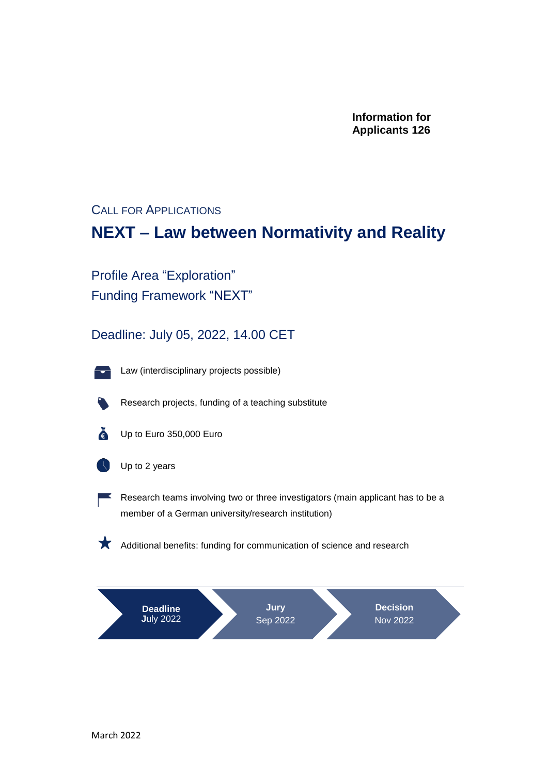**Information for Applicants 126**

CALL FOR APPLICATIONS

### **NEXT – Law between Normativity and Reality**

Profile Area "Exploration" Funding Framework "NEXT"

Deadline: July 05, 2022, 14.00 CET



Law (interdisciplinary projects possible)



Research projects, funding of a teaching substitute



 $\epsilon$  Up to Euro 350,000 Euro



Up to 2 years



Research teams involving two or three investigators (main applicant has to be a member of a German university/research institution)

Additional benefits: funding for communication of science and research

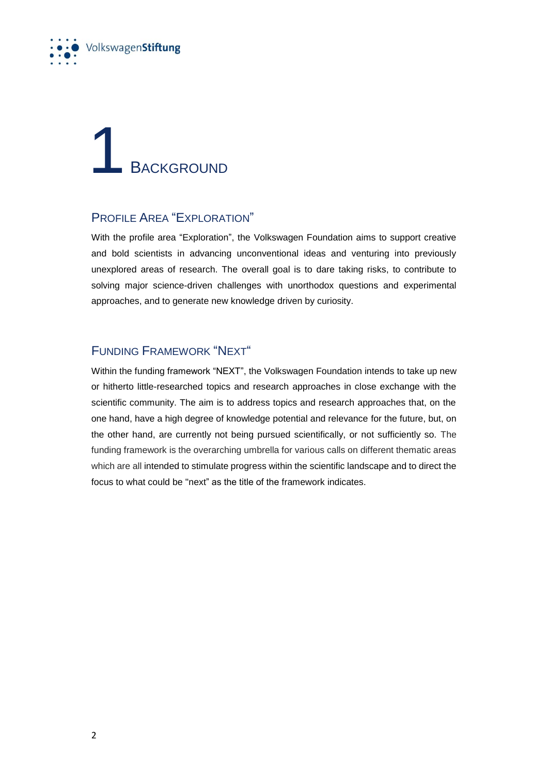

### **BACKGROUND**

### PROFILE AREA "EXPLORATION"

With the profile area "Exploration", the Volkswagen Foundation aims to support creative and bold scientists in advancing unconventional ideas and venturing into previously unexplored areas of research. The overall goal is to dare taking risks, to contribute to solving major science-driven challenges with unorthodox questions and experimental approaches, and to generate new knowledge driven by curiosity.

### FUNDING FRAMEWORK "NEXT"

Within the funding framework "NEXT", the Volkswagen Foundation intends to take up new or hitherto little-researched topics and research approaches in close exchange with the scientific community. The aim is to address topics and research approaches that, on the one hand, have a high degree of knowledge potential and relevance for the future, but, on the other hand, are currently not being pursued scientifically, or not sufficiently so. The funding framework is the overarching umbrella for various calls on different thematic areas which are all intended to stimulate progress within the scientific landscape and to direct the focus to what could be "next" as the title of the framework indicates.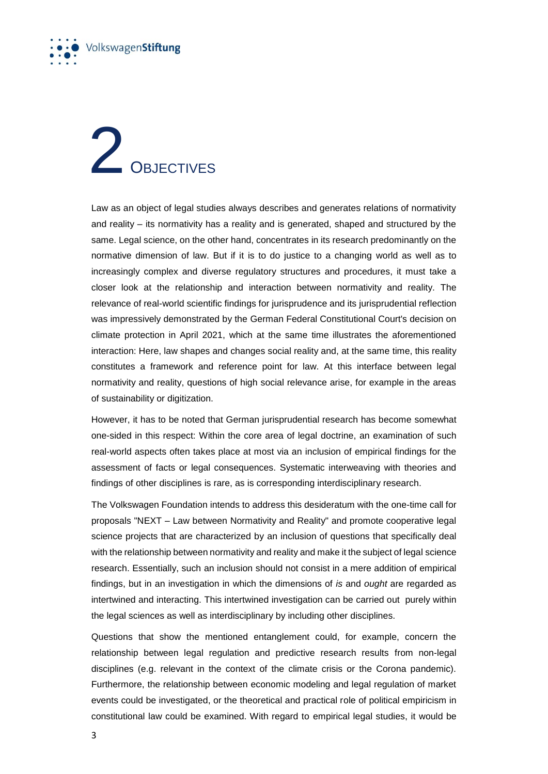

## 2 OBJECTIVES

Law as an object of legal studies always describes and generates relations of normativity and reality – its normativity has a reality and is generated, shaped and structured by the same. Legal science, on the other hand, concentrates in its research predominantly on the normative dimension of law. But if it is to do justice to a changing world as well as to increasingly complex and diverse regulatory structures and procedures, it must take a closer look at the relationship and interaction between normativity and reality. The relevance of real-world scientific findings for jurisprudence and its jurisprudential reflection was impressively demonstrated by the German Federal Constitutional Court's decision on climate protection in April 2021, which at the same time illustrates the aforementioned interaction: Here, law shapes and changes social reality and, at the same time, this reality constitutes a framework and reference point for law. At this interface between legal normativity and reality, questions of high social relevance arise, for example in the areas of sustainability or digitization.

However, it has to be noted that German jurisprudential research has become somewhat one-sided in this respect: Within the core area of legal doctrine, an examination of such real-world aspects often takes place at most via an inclusion of empirical findings for the assessment of facts or legal consequences. Systematic interweaving with theories and findings of other disciplines is rare, as is corresponding interdisciplinary research.

The Volkswagen Foundation intends to address this desideratum with the one-time call for proposals "NEXT – Law between Normativity and Reality" and promote cooperative legal science projects that are characterized by an inclusion of questions that specifically deal with the relationship between normativity and reality and make it the subject of legal science research. Essentially, such an inclusion should not consist in a mere addition of empirical findings, but in an investigation in which the dimensions of *is* and *ought* are regarded as intertwined and interacting. This intertwined investigation can be carried out purely within the legal sciences as well as interdisciplinary by including other disciplines.

Questions that show the mentioned entanglement could, for example, concern the relationship between legal regulation and predictive research results from non-legal disciplines (e.g. relevant in the context of the climate crisis or the Corona pandemic). Furthermore, the relationship between economic modeling and legal regulation of market events could be investigated, or the theoretical and practical role of political empiricism in constitutional law could be examined. With regard to empirical legal studies, it would be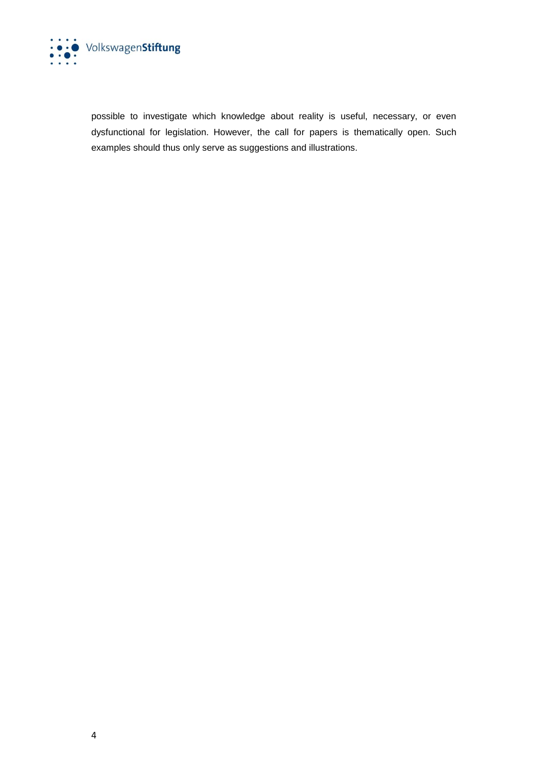

possible to investigate which knowledge about reality is useful, necessary, or even dysfunctional for legislation. However, the call for papers is thematically open. Such examples should thus only serve as suggestions and illustrations.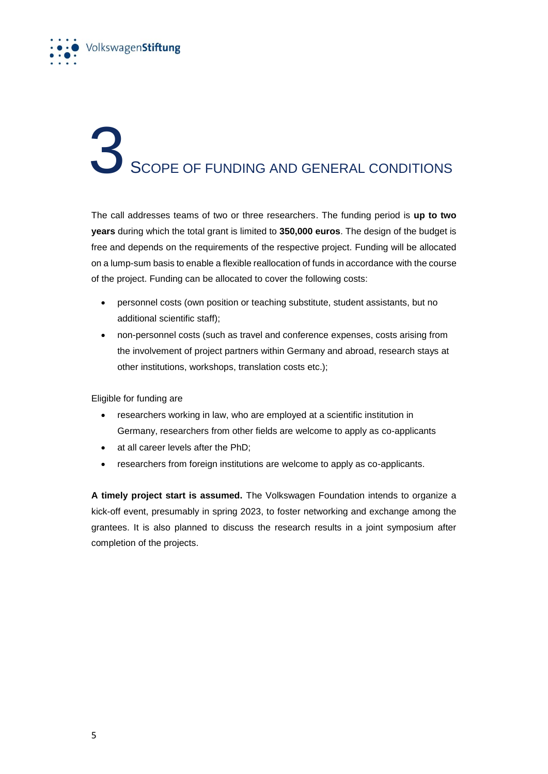

### SCOPE OF FUNDING AND GENERAL CONDITIONS

The call addresses teams of two or three researchers. The funding period is **up to two years** during which the total grant is limited to **350,000 euros**. The design of the budget is free and depends on the requirements of the respective project. Funding will be allocated on a lump-sum basis to enable a flexible reallocation of funds in accordance with the course of the project. Funding can be allocated to cover the following costs:

- personnel costs (own position or teaching substitute, student assistants, but no additional scientific staff);
- non-personnel costs (such as travel and conference expenses, costs arising from the involvement of project partners within Germany and abroad, research stays at other institutions, workshops, translation costs etc.);

Eligible for funding are

- researchers working in law, who are employed at a scientific institution in Germany, researchers from other fields are welcome to apply as co-applicants
- at all career levels after the PhD;
- researchers from foreign institutions are welcome to apply as co-applicants.

**A timely project start is assumed.** The Volkswagen Foundation intends to organize a kick-off event, presumably in spring 2023, to foster networking and exchange among the grantees. It is also planned to discuss the research results in a joint symposium after completion of the projects.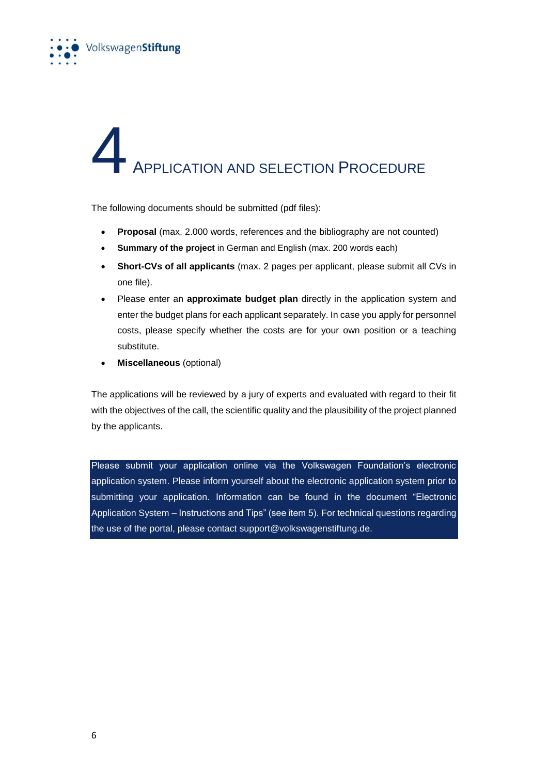

### 4 <sup>A</sup>PPLICATION AND SELECTION PROCEDURE

The following documents should be submitted (pdf files):

- **Proposal** (max. 2.000 words, references and the bibliography are not counted)
- **Summary of the project** in German and English (max. 200 words each)
- **Short-CVs of all applicants** (max. 2 pages per applicant, please submit all CVs in one file).
- Please enter an **approximate budget plan** directly in the application system and enter the budget plans for each applicant separately. In case you apply for personnel costs, please specify whether the costs are for your own position or a teaching substitute.
- **Miscellaneous** (optional)

The applications will be reviewed by a jury of experts and evaluated with regard to their fit with the objectives of the call, the scientific quality and the plausibility of the project planned by the applicants.

Please submit your application online via the Volkswagen Foundation's electronic application system. Please inform yourself about the electronic application system prior to submitting your application. Information can be found in the document "Electronic Application System – Instructions and Tips" (see item 5). For technical questions regarding the use of the portal, please contact support@volkswagenstiftung.de.